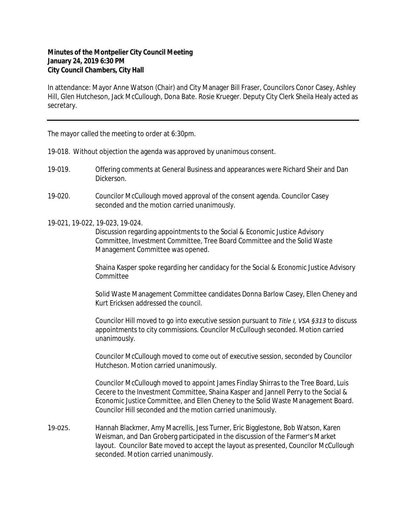## **Minutes of the Montpelier City Council Meeting January 24, 2019 6:30 PM City Council Chambers, City Hall**

In attendance: Mayor Anne Watson (Chair) and City Manager Bill Fraser, Councilors Conor Casey, Ashley Hill, Glen Hutcheson, Jack McCullough, Dona Bate. Rosie Krueger. Deputy City Clerk Sheila Healy acted as secretary.

The mayor called the meeting to order at 6:30pm.

- 19-018. Without objection the agenda was approved by unanimous consent.
- 19-019. Offering comments at General Business and appearances were Richard Sheir and Dan Dickerson.
- 19-020. Councilor McCullough moved approval of the consent agenda. Councilor Casey seconded and the motion carried unanimously.
- 19-021, 19-022, 19-023, 19-024.

Discussion regarding appointments to the Social & Economic Justice Advisory Committee, Investment Committee, Tree Board Committee and the Solid Waste Management Committee was opened.

Shaina Kasper spoke regarding her candidacy for the Social & Economic Justice Advisory Committee

Solid Waste Management Committee candidates Donna Barlow Casey, Ellen Cheney and Kurt Ericksen addressed the council.

Councilor Hill moved to go into executive session pursuant to *Title I, VSA §313* to discuss appointments to city commissions. Councilor McCullough seconded. Motion carried unanimously.

Councilor McCullough moved to come out of executive session, seconded by Councilor Hutcheson. Motion carried unanimously.

Councilor McCullough moved to appoint James Findlay Shirras to the Tree Board, Luis Cecere to the Investment Committee, Shaina Kasper and Jannell Perry to the Social & Economic Justice Committee, and Ellen Cheney to the Solid Waste Management Board. Councilor Hill seconded and the motion carried unanimously.

19-025. Hannah Blackmer, Amy Macrellis, Jess Turner, Eric Bigglestone, Bob Watson, Karen Weisman, and Dan Groberg participated in the discussion of the Farmer's Market layout. Councilor Bate moved to accept the layout as presented, Councilor McCullough seconded. Motion carried unanimously.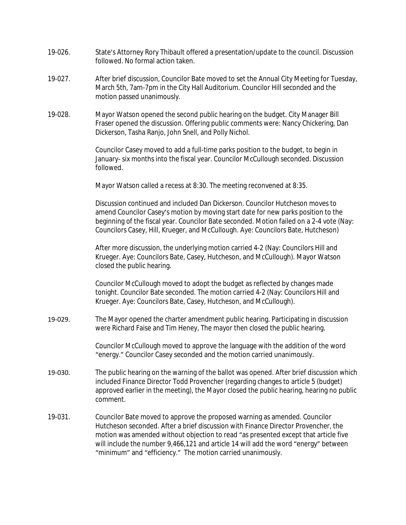- 19-026. State's Attorney Rory Thibault offered a presentation/update to the council. Discussion followed. No formal action taken.
- 19-027. After brief discussion, Councilor Bate moved to set the Annual City Meeting for Tuesday, March 5th, 7am-7pm in the City Hall Auditorium. Councilor Hill seconded and the motion passed unanimously.
- 19-028. Mayor Watson opened the second public hearing on the budget. City Manager Bill Fraser opened the discussion. Offering public comments were: Nancy Chickering, Dan Dickerson, Tasha Ranjo, John Snell, and Polly Nichol.

Councilor Casey moved to add a full-time parks position to the budget, to begin in January- six months into the fiscal year. Councilor McCullough seconded. Discussion followed.

Mayor Watson called a recess at 8:30. The meeting reconvened at 8:35.

Discussion continued and included Dan Dickerson. Councilor Hutcheson moves to amend Councilor Casey's motion by moving start date for new parks position to the beginning of the fiscal year. Councilor Bate seconded. Motion failed on a 2-4 vote (Nay: Councilors Casey, Hill, Krueger, and McCullough. Aye: Councilors Bate, Hutcheson)

After more discussion, the underlying motion carried 4-2 (Nay: Councilors Hill and Krueger. Aye: Councilors Bate, Casey, Hutcheson, and McCullough). Mayor Watson closed the public hearing.

Councilor McCullough moved to adopt the budget as reflected by changes made tonight. Councilor Bate seconded. The motion carried 4-2 (Nay: Councilors Hill and Krueger. Aye: Councilors Bate, Casey, Hutcheson, and McCullough).

19-029. The Mayor opened the charter amendment public hearing. Participating in discussion were Richard Faise and Tim Heney, The mayor then closed the public hearing.

> Councilor McCullough moved to approve the language with the addition of the word "energy." Councilor Casey seconded and the motion carried unanimously.

- 19-030. The public hearing on the warning of the ballot was opened. After brief discussion which included Finance Director Todd Provencher (regarding changes to article 5 (budget) approved earlier in the meeting), the Mayor closed the public hearing, hearing no public comment.
- 19-031. Councilor Bate moved to approve the proposed warning as amended. Councilor Hutcheson seconded. After a brief discussion with Finance Director Provencher, the motion was amended without objection to read "as presented except that article five will include the number 9,466,121 and article 14 will add the word "energy" between "minimum" and "efficiency." The motion carried unanimously.